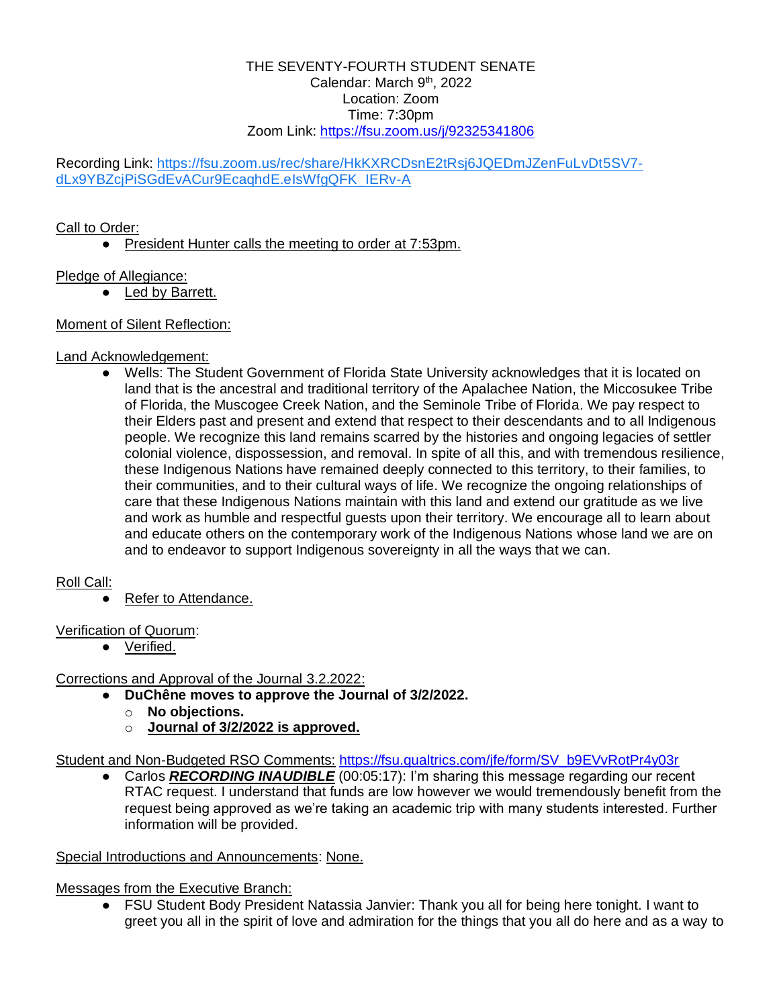#### THE SEVENTY-FOURTH STUDENT SENATE Calendar: March 9<sup>th</sup>, 2022 Location: Zoom Time: 7:30pm Zoom Link:<https://fsu.zoom.us/j/92325341806>

Recording Link: [https://fsu.zoom.us/rec/share/HkKXRCDsnE2tRsj6JQEDmJZenFuLvDt5SV7](https://urldefense.com/v3/__https:/fsu.zoom.us/rec/share/HkKXRCDsnE2tRsj6JQEDmJZenFuLvDt5SV7-dLx9YBZcjPiSGdEvACur9EcaqhdE.eIsWfgQFK_IERv-A__;!!PhOWcWs!nli201SfQPJ8iJqwjQnuuFrJOHIHW5YK3YnExAzVjmF8ayHNJDKrghBZ0IS6Zcw$) [dLx9YBZcjPiSGdEvACur9EcaqhdE.eIsWfgQFK\\_IERv-A](https://urldefense.com/v3/__https:/fsu.zoom.us/rec/share/HkKXRCDsnE2tRsj6JQEDmJZenFuLvDt5SV7-dLx9YBZcjPiSGdEvACur9EcaqhdE.eIsWfgQFK_IERv-A__;!!PhOWcWs!nli201SfQPJ8iJqwjQnuuFrJOHIHW5YK3YnExAzVjmF8ayHNJDKrghBZ0IS6Zcw$)

## Call to Order:

● President Hunter calls the meeting to order at 7:53pm.

# Pledge of Allegiance:

• Led by Barrett.

# Moment of Silent Reflection:

## Land Acknowledgement:

Wells: The Student Government of Florida State University acknowledges that it is located on land that is the ancestral and traditional territory of the Apalachee Nation, the Miccosukee Tribe of Florida, the Muscogee Creek Nation, and the Seminole Tribe of Florida. We pay respect to their Elders past and present and extend that respect to their descendants and to all Indigenous people. We recognize this land remains scarred by the histories and ongoing legacies of settler colonial violence, dispossession, and removal. In spite of all this, and with tremendous resilience, these Indigenous Nations have remained deeply connected to this territory, to their families, to their communities, and to their cultural ways of life. We recognize the ongoing relationships of care that these Indigenous Nations maintain with this land and extend our gratitude as we live and work as humble and respectful guests upon their territory. We encourage all to learn about and educate others on the contemporary work of the Indigenous Nations whose land we are on and to endeavor to support Indigenous sovereignty in all the ways that we can.

# Roll Call:

● Refer to Attendance.

### Verification of Quorum:

● Verified.

Corrections and Approval of the Journal 3.2.2022:

- **DuChêne moves to approve the Journal of 3/2/2022.**
	- o **No objections.**
	- o **Journal of 3/2/2022 is approved.**

Student and Non-Budgeted RSO Comments: [https://fsu.qualtrics.com/jfe/form/SV\\_b9EVvRotPr4y03r](https://fsu.qualtrics.com/jfe/form/SV_b9EVvRotPr4y03r)

Carlos **RECORDING INAUDIBLE** (00:05:17): I'm sharing this message regarding our recent RTAC request. I understand that funds are low however we would tremendously benefit from the request being approved as we're taking an academic trip with many students interested. Further information will be provided.

# Special Introductions and Announcements: None.

Messages from the Executive Branch:

● FSU Student Body President Natassia Janvier: Thank you all for being here tonight. I want to greet you all in the spirit of love and admiration for the things that you all do here and as a way to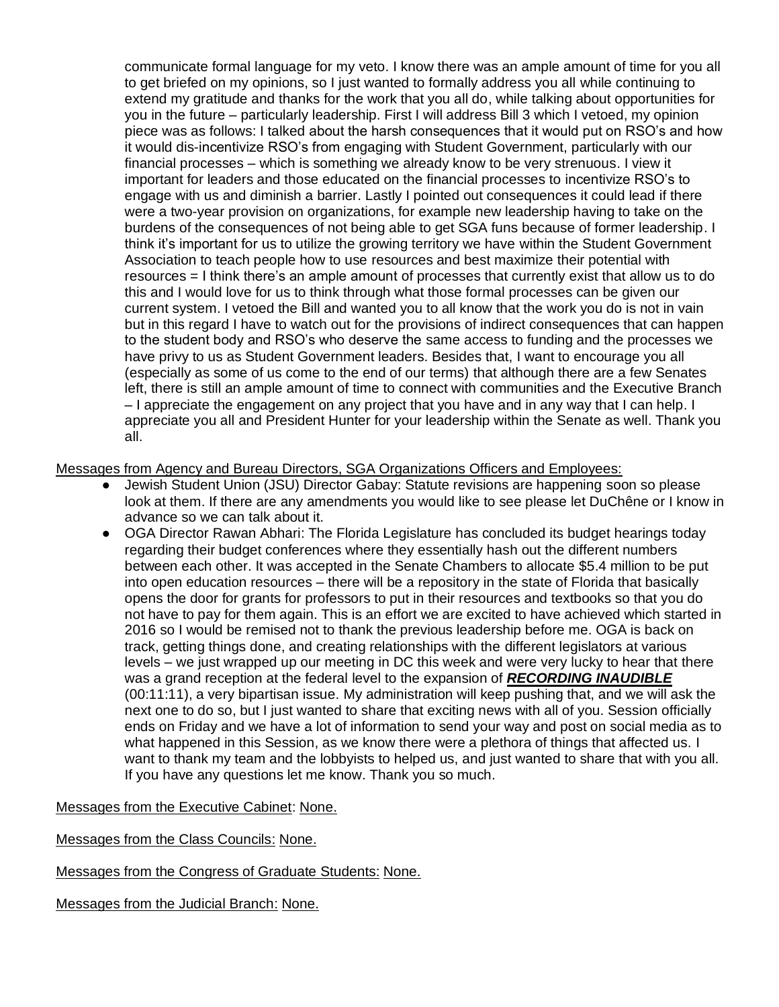communicate formal language for my veto. I know there was an ample amount of time for you all to get briefed on my opinions, so I just wanted to formally address you all while continuing to extend my gratitude and thanks for the work that you all do, while talking about opportunities for you in the future – particularly leadership. First I will address Bill 3 which I vetoed, my opinion piece was as follows: I talked about the harsh consequences that it would put on RSO's and how it would dis-incentivize RSO's from engaging with Student Government, particularly with our financial processes – which is something we already know to be very strenuous. I view it important for leaders and those educated on the financial processes to incentivize RSO's to engage with us and diminish a barrier. Lastly I pointed out consequences it could lead if there were a two-year provision on organizations, for example new leadership having to take on the burdens of the consequences of not being able to get SGA funs because of former leadership. I think it's important for us to utilize the growing territory we have within the Student Government Association to teach people how to use resources and best maximize their potential with resources = I think there's an ample amount of processes that currently exist that allow us to do this and I would love for us to think through what those formal processes can be given our current system. I vetoed the Bill and wanted you to all know that the work you do is not in vain but in this regard I have to watch out for the provisions of indirect consequences that can happen to the student body and RSO's who deserve the same access to funding and the processes we have privy to us as Student Government leaders. Besides that, I want to encourage you all (especially as some of us come to the end of our terms) that although there are a few Senates left, there is still an ample amount of time to connect with communities and the Executive Branch – I appreciate the engagement on any project that you have and in any way that I can help. I appreciate you all and President Hunter for your leadership within the Senate as well. Thank you all.

Messages from Agency and Bureau Directors, SGA Organizations Officers and Employees:

- Jewish Student Union (JSU) Director Gabay: Statute revisions are happening soon so please look at them. If there are any amendments you would like to see please let DuChêne or I know in advance so we can talk about it.
- OGA Director Rawan Abhari: The Florida Legislature has concluded its budget hearings today regarding their budget conferences where they essentially hash out the different numbers between each other. It was accepted in the Senate Chambers to allocate \$5.4 million to be put into open education resources – there will be a repository in the state of Florida that basically opens the door for grants for professors to put in their resources and textbooks so that you do not have to pay for them again. This is an effort we are excited to have achieved which started in 2016 so I would be remised not to thank the previous leadership before me. OGA is back on track, getting things done, and creating relationships with the different legislators at various levels – we just wrapped up our meeting in DC this week and were very lucky to hear that there was a grand reception at the federal level to the expansion of *RECORDING INAUDIBLE*  (00:11:11), a very bipartisan issue. My administration will keep pushing that, and we will ask the next one to do so, but I just wanted to share that exciting news with all of you. Session officially ends on Friday and we have a lot of information to send your way and post on social media as to what happened in this Session, as we know there were a plethora of things that affected us. I want to thank my team and the lobbyists to helped us, and just wanted to share that with you all. If you have any questions let me know. Thank you so much.

Messages from the Executive Cabinet: None.

Messages from the Class Councils: None.

Messages from the Congress of Graduate Students: None.

Messages from the Judicial Branch: None.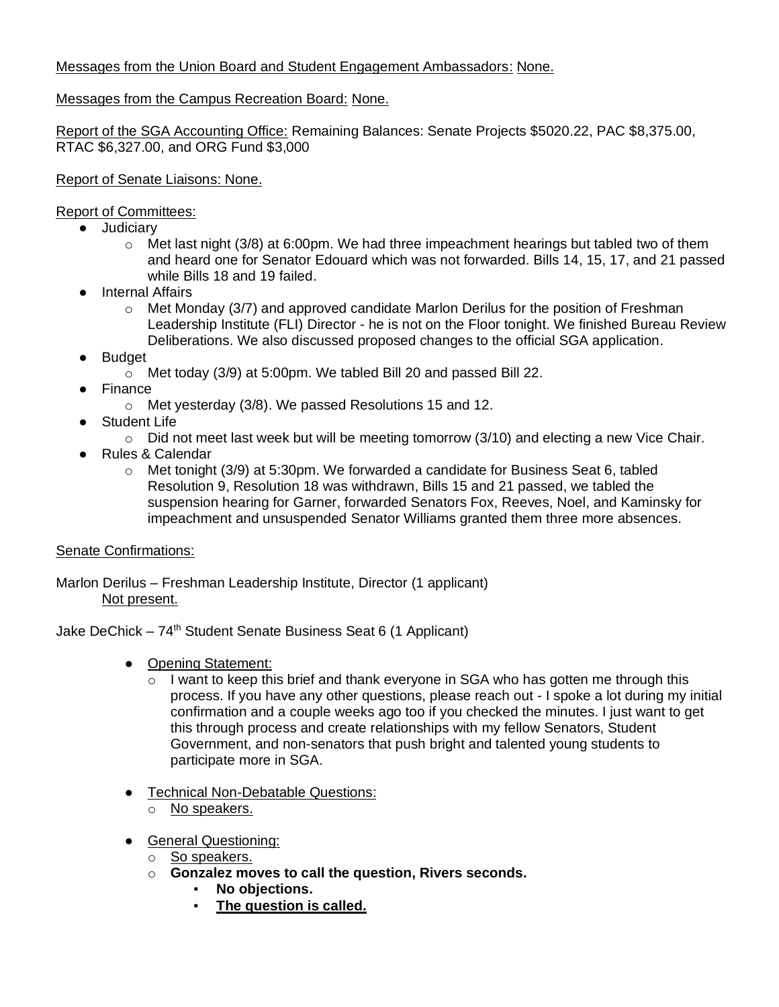# Messages from the Union Board and Student Engagement Ambassadors: None.

# Messages from the Campus Recreation Board: None.

Report of the SGA Accounting Office: Remaining Balances: Senate Projects \$5020.22, PAC \$8,375.00, RTAC \$6,327.00, and ORG Fund \$3,000

## Report of Senate Liaisons: None.

# Report of Committees:

- Judiciary
	- $\circ$  Met last night (3/8) at 6:00pm. We had three impeachment hearings but tabled two of them and heard one for Senator Edouard which was not forwarded. Bills 14, 15, 17, and 21 passed while Bills 18 and 19 failed.
- Internal Affairs
	- o Met Monday (3/7) and approved candidate Marlon Derilus for the position of Freshman Leadership Institute (FLI) Director - he is not on the Floor tonight. We finished Bureau Review Deliberations. We also discussed proposed changes to the official SGA application.
- Budget
	- o Met today (3/9) at 5:00pm. We tabled Bill 20 and passed Bill 22.
- Finance
	- o Met yesterday (3/8). We passed Resolutions 15 and 12.
- Student Life
	- $\circ$  Did not meet last week but will be meeting tomorrow (3/10) and electing a new Vice Chair.
- Rules & Calendar
	- o Met tonight (3/9) at 5:30pm. We forwarded a candidate for Business Seat 6, tabled Resolution 9, Resolution 18 was withdrawn, Bills 15 and 21 passed, we tabled the suspension hearing for Garner, forwarded Senators Fox, Reeves, Noel, and Kaminsky for impeachment and unsuspended Senator Williams granted them three more absences.

# Senate Confirmations:

Marlon Derilus – Freshman Leadership Institute, Director (1 applicant) Not present.

Jake DeChick –  $74<sup>th</sup>$  Student Senate Business Seat 6 (1 Applicant)

- Opening Statement:
	- $\circ$  I want to keep this brief and thank everyone in SGA who has gotten me through this process. If you have any other questions, please reach out - I spoke a lot during my initial confirmation and a couple weeks ago too if you checked the minutes. I just want to get this through process and create relationships with my fellow Senators, Student Government, and non-senators that push bright and talented young students to participate more in SGA.
- Technical Non-Debatable Questions:
	- o No speakers.
- General Questioning:
	- o So speakers.
	- o **Gonzalez moves to call the question, Rivers seconds.**
		- **No objections.**
		- **The question is called.**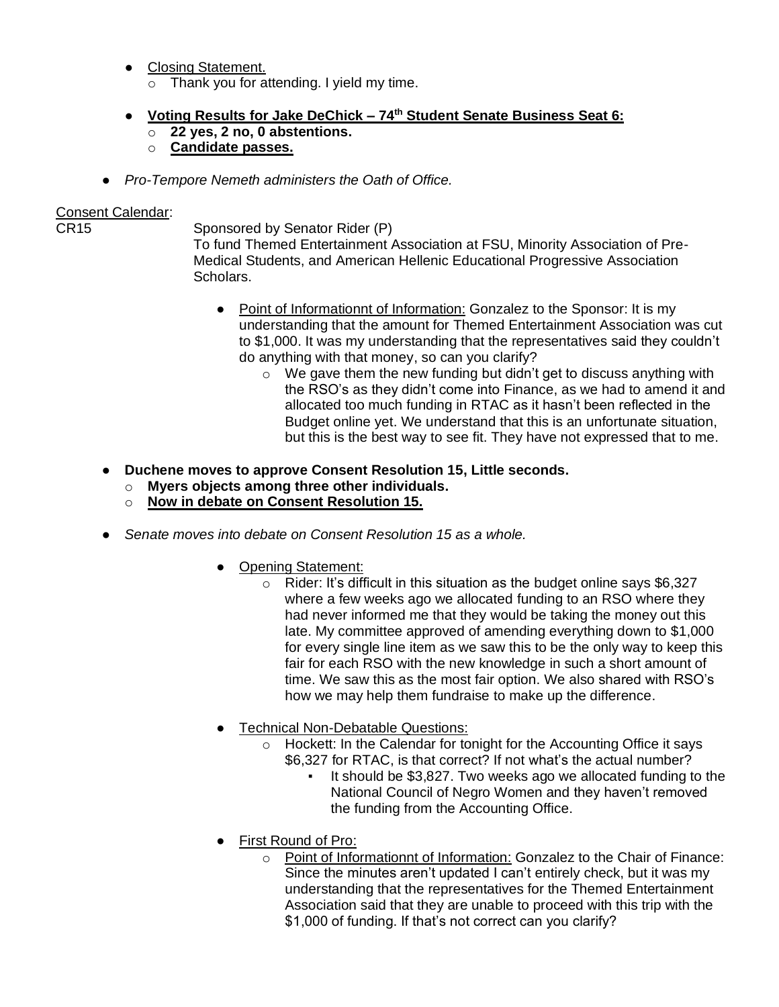- Closing Statement. o Thank you for attending. I yield my time.
- **Voting Results for Jake DeChick – 74th Student Senate Business Seat 6:**
	- o **22 yes, 2 no, 0 abstentions.**
	- o **Candidate passes.**
- *Pro-Tempore Nemeth administers the Oath of Office.*

# Consent Calendar:<br>CR15

Sponsored by Senator Rider (P)

To fund Themed Entertainment Association at FSU, Minority Association of Pre-Medical Students, and American Hellenic Educational Progressive Association **Scholars** 

- Point of Informationnt of Information: Gonzalez to the Sponsor: It is my understanding that the amount for Themed Entertainment Association was cut to \$1,000. It was my understanding that the representatives said they couldn't do anything with that money, so can you clarify?
	- $\circ$  We gave them the new funding but didn't get to discuss anything with the RSO's as they didn't come into Finance, as we had to amend it and allocated too much funding in RTAC as it hasn't been reflected in the Budget online yet. We understand that this is an unfortunate situation, but this is the best way to see fit. They have not expressed that to me.
- **Duchene moves to approve Consent Resolution 15, Little seconds.**
	- o **Myers objects among three other individuals.**
	- o **Now in debate on Consent Resolution 15.**
- *Senate moves into debate on Consent Resolution 15 as a whole.*
	- Opening Statement:
		- $\circ$  Rider: It's difficult in this situation as the budget online says \$6,327 where a few weeks ago we allocated funding to an RSO where they had never informed me that they would be taking the money out this late. My committee approved of amending everything down to \$1,000 for every single line item as we saw this to be the only way to keep this fair for each RSO with the new knowledge in such a short amount of time. We saw this as the most fair option. We also shared with RSO's how we may help them fundraise to make up the difference.
	- **Technical Non-Debatable Questions:** 
		- o Hockett: In the Calendar for tonight for the Accounting Office it says \$6,327 for RTAC, is that correct? If not what's the actual number?
			- It should be \$3,827. Two weeks ago we allocated funding to the National Council of Negro Women and they haven't removed the funding from the Accounting Office.
	- First Round of Pro:
		- o Point of Informationnt of Information: Gonzalez to the Chair of Finance: Since the minutes aren't updated I can't entirely check, but it was my understanding that the representatives for the Themed Entertainment Association said that they are unable to proceed with this trip with the \$1,000 of funding. If that's not correct can you clarify?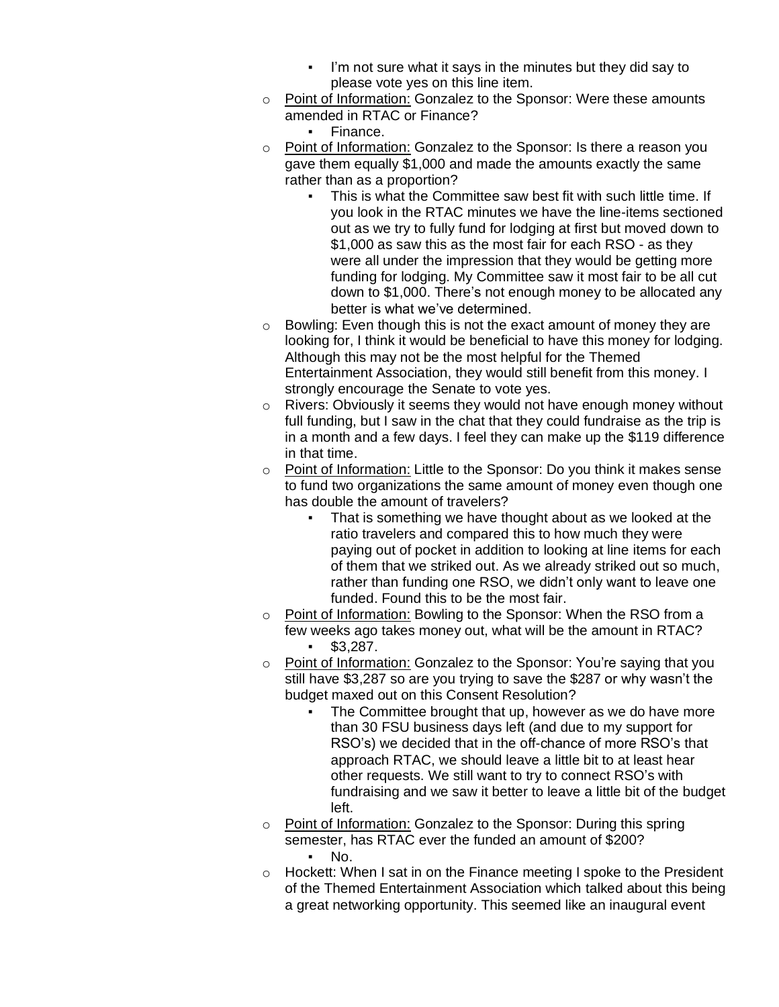- I'm not sure what it says in the minutes but they did say to please vote yes on this line item.
- o Point of Information: Gonzalez to the Sponsor: Were these amounts amended in RTAC or Finance?
	- Finance.
- o Point of Information: Gonzalez to the Sponsor: Is there a reason you gave them equally \$1,000 and made the amounts exactly the same rather than as a proportion?
	- This is what the Committee saw best fit with such little time. If you look in the RTAC minutes we have the line-items sectioned out as we try to fully fund for lodging at first but moved down to \$1,000 as saw this as the most fair for each RSO - as they were all under the impression that they would be getting more funding for lodging. My Committee saw it most fair to be all cut down to \$1,000. There's not enough money to be allocated any better is what we've determined.
- $\circ$  Bowling: Even though this is not the exact amount of money they are looking for, I think it would be beneficial to have this money for lodging. Although this may not be the most helpful for the Themed Entertainment Association, they would still benefit from this money. I strongly encourage the Senate to vote yes.
- o Rivers: Obviously it seems they would not have enough money without full funding, but I saw in the chat that they could fundraise as the trip is in a month and a few days. I feel they can make up the \$119 difference in that time.
- o Point of Information: Little to the Sponsor: Do you think it makes sense to fund two organizations the same amount of money even though one has double the amount of travelers?
	- **•** That is something we have thought about as we looked at the ratio travelers and compared this to how much they were paying out of pocket in addition to looking at line items for each of them that we striked out. As we already striked out so much, rather than funding one RSO, we didn't only want to leave one funded. Found this to be the most fair.
- o Point of Information: Bowling to the Sponsor: When the RSO from a few weeks ago takes money out, what will be the amount in RTAC? ▪ \$3,287.
- o Point of Information: Gonzalez to the Sponsor: You're saying that you still have \$3,287 so are you trying to save the \$287 or why wasn't the budget maxed out on this Consent Resolution?
	- The Committee brought that up, however as we do have more than 30 FSU business days left (and due to my support for RSO's) we decided that in the off-chance of more RSO's that approach RTAC, we should leave a little bit to at least hear other requests. We still want to try to connect RSO's with fundraising and we saw it better to leave a little bit of the budget left.
- o Point of Information: Gonzalez to the Sponsor: During this spring semester, has RTAC ever the funded an amount of \$200? ▪ No.
- o Hockett: When I sat in on the Finance meeting I spoke to the President of the Themed Entertainment Association which talked about this being a great networking opportunity. This seemed like an inaugural event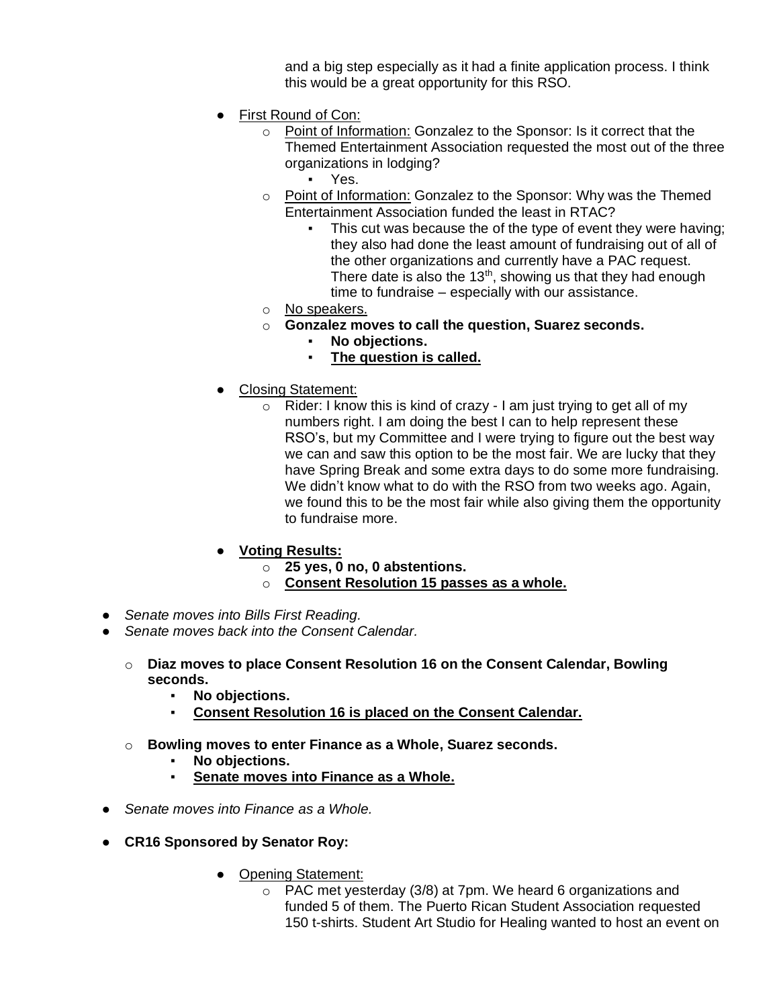and a big step especially as it had a finite application process. I think this would be a great opportunity for this RSO.

- First Round of Con:
	- o Point of Information: Gonzalez to the Sponsor: Is it correct that the Themed Entertainment Association requested the most out of the three organizations in lodging?
		- Yes.
	- o Point of Information: Gonzalez to the Sponsor: Why was the Themed Entertainment Association funded the least in RTAC?
		- This cut was because the of the type of event they were having; they also had done the least amount of fundraising out of all of the other organizations and currently have a PAC request. There date is also the  $13<sup>th</sup>$ , showing us that they had enough time to fundraise – especially with our assistance.
	- o No speakers.
	- o **Gonzalez moves to call the question, Suarez seconds.**
		- No objections.
		- **The question is called.**
- Closing Statement:
	- $\circ$  Rider: I know this is kind of crazy I am just trying to get all of my numbers right. I am doing the best I can to help represent these RSO's, but my Committee and I were trying to figure out the best way we can and saw this option to be the most fair. We are lucky that they have Spring Break and some extra days to do some more fundraising. We didn't know what to do with the RSO from two weeks ago. Again, we found this to be the most fair while also giving them the opportunity to fundraise more.
- **Voting Results:**
	- o **25 yes, 0 no, 0 abstentions.**
	- o **Consent Resolution 15 passes as a whole.**
- *Senate moves into Bills First Reading.*
- *Senate moves back into the Consent Calendar.*
	- o **Diaz moves to place Consent Resolution 16 on the Consent Calendar, Bowling seconds.**
		- **No objections.**
		- **Consent Resolution 16 is placed on the Consent Calendar.**
	- o **Bowling moves to enter Finance as a Whole, Suarez seconds.**
		- **No objections.**
		- **Senate moves into Finance as a Whole.**
- *Senate moves into Finance as a Whole.*
- **CR16 Sponsored by Senator Roy:**
	- Opening Statement:
		- $\circ$  PAC met yesterday (3/8) at 7pm. We heard 6 organizations and funded 5 of them. The Puerto Rican Student Association requested 150 t-shirts. Student Art Studio for Healing wanted to host an event on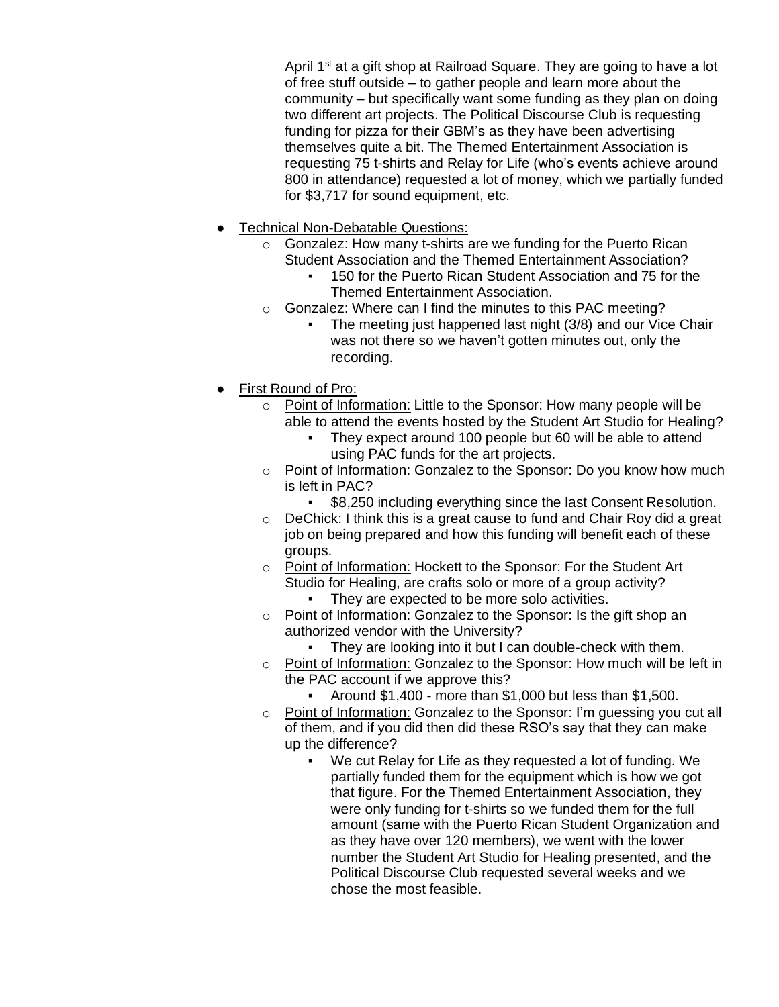April 1<sup>st</sup> at a gift shop at Railroad Square. They are going to have a lot of free stuff outside – to gather people and learn more about the community – but specifically want some funding as they plan on doing two different art projects. The Political Discourse Club is requesting funding for pizza for their GBM's as they have been advertising themselves quite a bit. The Themed Entertainment Association is requesting 75 t-shirts and Relay for Life (who's events achieve around 800 in attendance) requested a lot of money, which we partially funded for \$3,717 for sound equipment, etc.

- Technical Non-Debatable Questions:
	- o Gonzalez: How many t-shirts are we funding for the Puerto Rican Student Association and the Themed Entertainment Association?
		- 150 for the Puerto Rican Student Association and 75 for the Themed Entertainment Association.
	- o Gonzalez: Where can I find the minutes to this PAC meeting?
		- The meeting just happened last night (3/8) and our Vice Chair was not there so we haven't gotten minutes out, only the recording.
- First Round of Pro:
	- o Point of Information: Little to the Sponsor: How many people will be able to attend the events hosted by the Student Art Studio for Healing?
		- They expect around 100 people but 60 will be able to attend using PAC funds for the art projects.
	- $\circ$  Point of Information: Gonzalez to the Sponsor: Do you know how much is left in PAC?
		- \$8,250 including everything since the last Consent Resolution.
	- o DeChick: I think this is a great cause to fund and Chair Roy did a great job on being prepared and how this funding will benefit each of these groups.
	- o Point of Information: Hockett to the Sponsor: For the Student Art Studio for Healing, are crafts solo or more of a group activity?
		- They are expected to be more solo activities.
	- o Point of Information: Gonzalez to the Sponsor: Is the gift shop an authorized vendor with the University?
		- They are looking into it but I can double-check with them.
	- o Point of Information: Gonzalez to the Sponsor: How much will be left in the PAC account if we approve this?
		- Around \$1,400 more than \$1,000 but less than \$1,500.
	- o Point of Information: Gonzalez to the Sponsor: I'm guessing you cut all of them, and if you did then did these RSO's say that they can make up the difference?
		- We cut Relay for Life as they requested a lot of funding. We partially funded them for the equipment which is how we got that figure. For the Themed Entertainment Association, they were only funding for t-shirts so we funded them for the full amount (same with the Puerto Rican Student Organization and as they have over 120 members), we went with the lower number the Student Art Studio for Healing presented, and the Political Discourse Club requested several weeks and we chose the most feasible.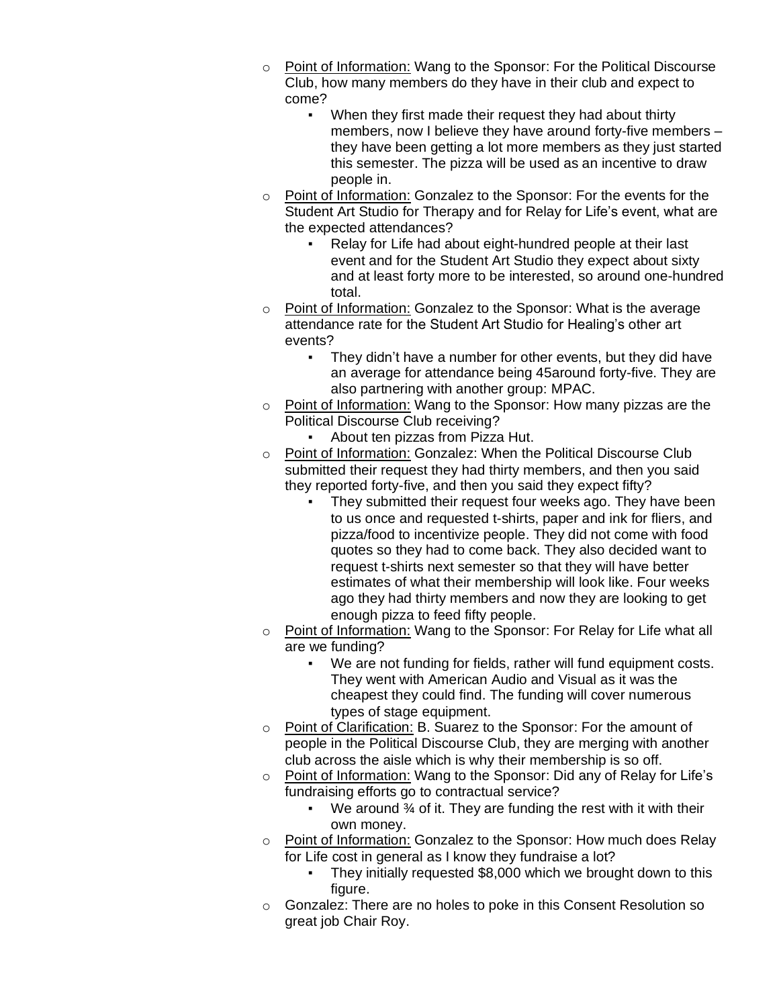- $\circ$  Point of Information: Wang to the Sponsor: For the Political Discourse Club, how many members do they have in their club and expect to come?
	- When they first made their request they had about thirty members, now I believe they have around forty-five members – they have been getting a lot more members as they just started this semester. The pizza will be used as an incentive to draw people in.
- o Point of Information: Gonzalez to the Sponsor: For the events for the Student Art Studio for Therapy and for Relay for Life's event, what are the expected attendances?
	- Relay for Life had about eight-hundred people at their last event and for the Student Art Studio they expect about sixty and at least forty more to be interested, so around one-hundred total.
- o Point of Information: Gonzalez to the Sponsor: What is the average attendance rate for the Student Art Studio for Healing's other art events?
	- They didn't have a number for other events, but they did have an average for attendance being 45around forty-five. They are also partnering with another group: MPAC.
- o Point of Information: Wang to the Sponsor: How many pizzas are the Political Discourse Club receiving?
	- About ten pizzas from Pizza Hut.
- o Point of Information: Gonzalez: When the Political Discourse Club submitted their request they had thirty members, and then you said they reported forty-five, and then you said they expect fifty?
	- They submitted their request four weeks ago. They have been to us once and requested t-shirts, paper and ink for fliers, and pizza/food to incentivize people. They did not come with food quotes so they had to come back. They also decided want to request t-shirts next semester so that they will have better estimates of what their membership will look like. Four weeks ago they had thirty members and now they are looking to get enough pizza to feed fifty people.
- o Point of Information: Wang to the Sponsor: For Relay for Life what all are we funding?
	- We are not funding for fields, rather will fund equipment costs. They went with American Audio and Visual as it was the cheapest they could find. The funding will cover numerous types of stage equipment.
- o Point of Clarification: B. Suarez to the Sponsor: For the amount of people in the Political Discourse Club, they are merging with another club across the aisle which is why their membership is so off.
- o Point of Information: Wang to the Sponsor: Did any of Relay for Life's fundraising efforts go to contractual service?
	- We around  $\frac{3}{4}$  of it. They are funding the rest with it with their own money.
- o Point of Information: Gonzalez to the Sponsor: How much does Relay for Life cost in general as I know they fundraise a lot?
	- They initially requested \$8,000 which we brought down to this figure.
- o Gonzalez: There are no holes to poke in this Consent Resolution so great job Chair Roy.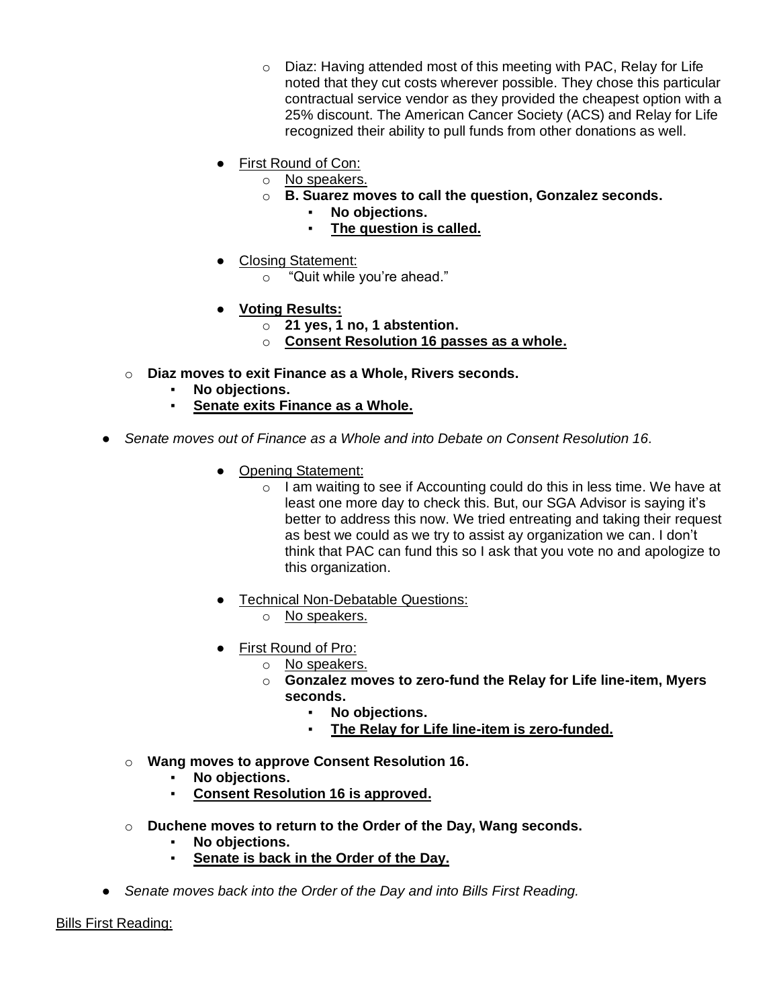- o Diaz: Having attended most of this meeting with PAC, Relay for Life noted that they cut costs wherever possible. They chose this particular contractual service vendor as they provided the cheapest option with a 25% discount. The American Cancer Society (ACS) and Relay for Life recognized their ability to pull funds from other donations as well.
- First Round of Con:
	- o No speakers.
		- o **B. Suarez moves to call the question, Gonzalez seconds.**
			- No objections.
				- **The question is called.**
- Closing Statement:
	- o "Quit while you're ahead."
- **Voting Results:**
	- o **21 yes, 1 no, 1 abstention.**
	- o **Consent Resolution 16 passes as a whole.**
- o **Diaz moves to exit Finance as a Whole, Rivers seconds.**
	- No objections.
	- **Senate exits Finance as a Whole.**
- Senate moves out of Finance as a Whole and into Debate on Consent Resolution 16.
	- Opening Statement:
		- $\circ$  I am waiting to see if Accounting could do this in less time. We have at least one more day to check this. But, our SGA Advisor is saying it's better to address this now. We tried entreating and taking their request as best we could as we try to assist ay organization we can. I don't think that PAC can fund this so I ask that you vote no and apologize to this organization.
	- Technical Non-Debatable Questions:
		- o No speakers.
	- First Round of Pro:
		- o No speakers.
			- o **Gonzalez moves to zero-fund the Relay for Life line-item, Myers seconds.**
				- **No objections.**
				- The Relay for Life line-item is zero-funded.
	- o **Wang moves to approve Consent Resolution 16.**
		- No objections.
		- **Consent Resolution 16 is approved.**
	- o **Duchene moves to return to the Order of the Day, Wang seconds.**
		- No objections.
		- **Senate is back in the Order of the Day.**
- *Senate moves back into the Order of the Day and into Bills First Reading.*

Bills First Reading: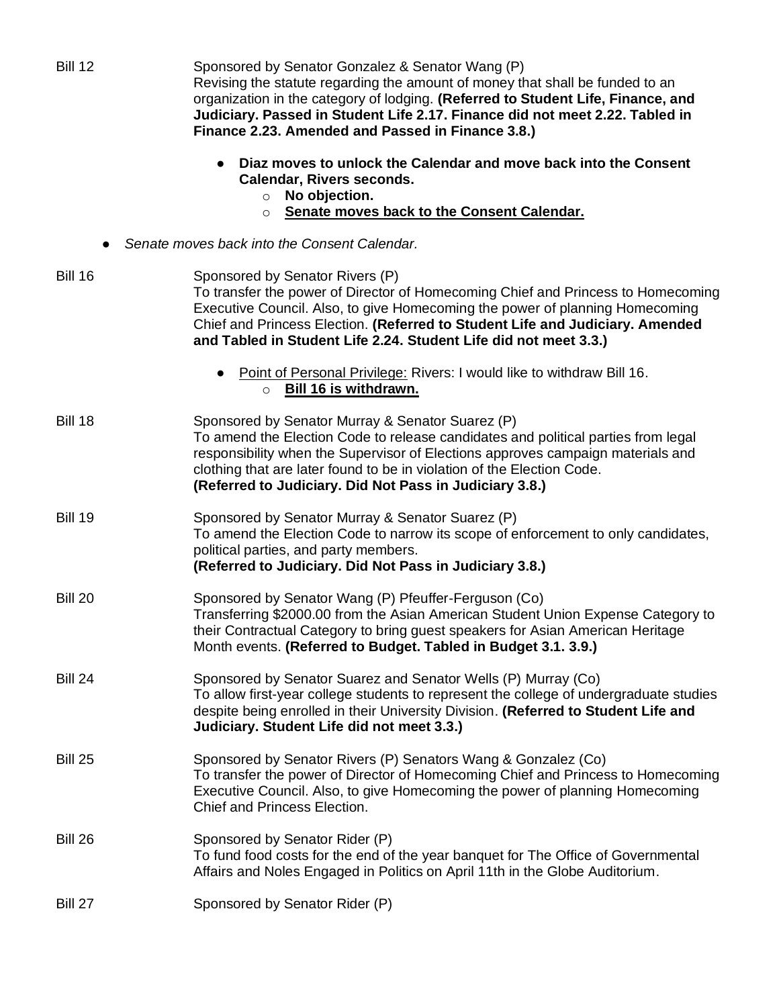| <b>Bill 12</b>                                        | Sponsored by Senator Gonzalez & Senator Wang (P)<br>Revising the statute regarding the amount of money that shall be funded to an<br>organization in the category of lodging. (Referred to Student Life, Finance, and<br>Judiciary. Passed in Student Life 2.17. Finance did not meet 2.22. Tabled in<br>Finance 2.23. Amended and Passed in Finance 3.8.)    |
|-------------------------------------------------------|---------------------------------------------------------------------------------------------------------------------------------------------------------------------------------------------------------------------------------------------------------------------------------------------------------------------------------------------------------------|
|                                                       | Diaz moves to unlock the Calendar and move back into the Consent<br>$\bullet$<br>Calendar, Rivers seconds.<br>No objection.<br>$\circ$                                                                                                                                                                                                                        |
| Senate moves back to the Consent Calendar.<br>$\circ$ |                                                                                                                                                                                                                                                                                                                                                               |
| Senate moves back into the Consent Calendar.          |                                                                                                                                                                                                                                                                                                                                                               |
| <b>Bill 16</b>                                        | Sponsored by Senator Rivers (P)<br>To transfer the power of Director of Homecoming Chief and Princess to Homecoming<br>Executive Council. Also, to give Homecoming the power of planning Homecoming<br>Chief and Princess Election. (Referred to Student Life and Judiciary. Amended<br>and Tabled in Student Life 2.24. Student Life did not meet 3.3.)      |
|                                                       | Point of Personal Privilege: Rivers: I would like to withdraw Bill 16.<br>$\bullet$<br>O Bill 16 is withdrawn.                                                                                                                                                                                                                                                |
| <b>Bill 18</b>                                        | Sponsored by Senator Murray & Senator Suarez (P)<br>To amend the Election Code to release candidates and political parties from legal<br>responsibility when the Supervisor of Elections approves campaign materials and<br>clothing that are later found to be in violation of the Election Code.<br>(Referred to Judiciary. Did Not Pass in Judiciary 3.8.) |
| <b>Bill 19</b>                                        | Sponsored by Senator Murray & Senator Suarez (P)<br>To amend the Election Code to narrow its scope of enforcement to only candidates,<br>political parties, and party members.<br>(Referred to Judiciary. Did Not Pass in Judiciary 3.8.)                                                                                                                     |
| <b>Bill 20</b>                                        | Sponsored by Senator Wang (P) Pfeuffer-Ferguson (Co)<br>Transferring \$2000.00 from the Asian American Student Union Expense Category to<br>their Contractual Category to bring guest speakers for Asian American Heritage<br>Month events. (Referred to Budget. Tabled in Budget 3.1. 3.9.)                                                                  |
| <b>Bill 24</b>                                        | Sponsored by Senator Suarez and Senator Wells (P) Murray (Co)<br>To allow first-year college students to represent the college of undergraduate studies<br>despite being enrolled in their University Division. (Referred to Student Life and<br>Judiciary. Student Life did not meet 3.3.)                                                                   |
| <b>Bill 25</b>                                        | Sponsored by Senator Rivers (P) Senators Wang & Gonzalez (Co)<br>To transfer the power of Director of Homecoming Chief and Princess to Homecoming<br>Executive Council. Also, to give Homecoming the power of planning Homecoming<br>Chief and Princess Election.                                                                                             |
| <b>Bill 26</b>                                        | Sponsored by Senator Rider (P)<br>To fund food costs for the end of the year banquet for The Office of Governmental<br>Affairs and Noles Engaged in Politics on April 11th in the Globe Auditorium.                                                                                                                                                           |
| Bill 27                                               | Sponsored by Senator Rider (P)                                                                                                                                                                                                                                                                                                                                |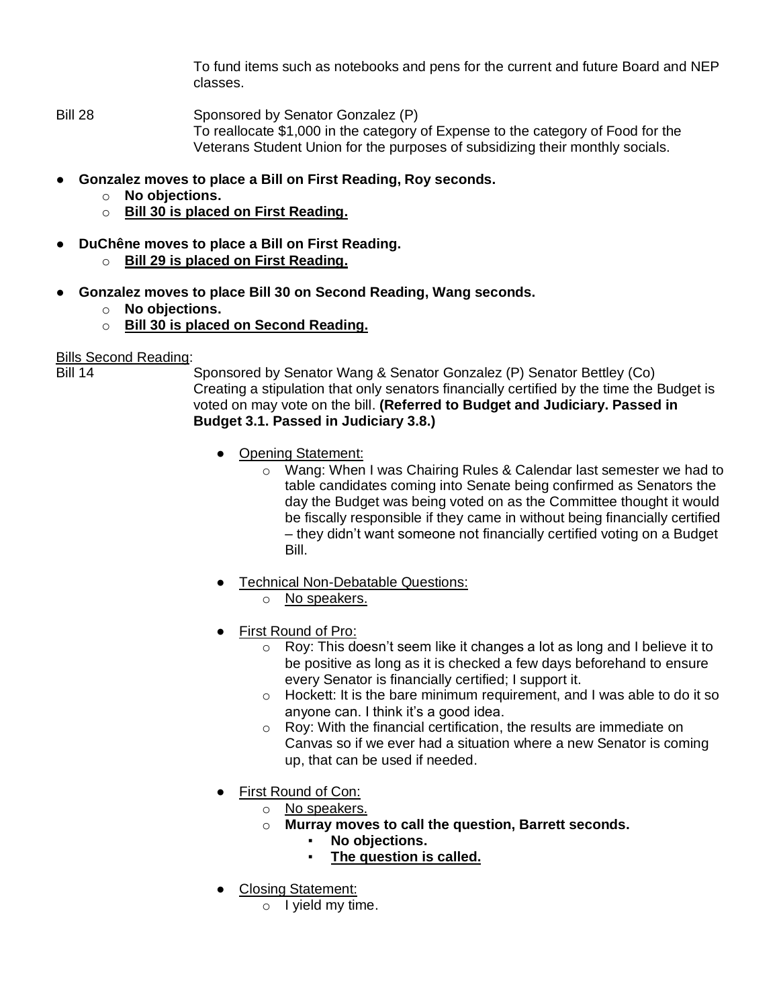To fund items such as notebooks and pens for the current and future Board and NEP classes.

Bill 28 Sponsored by Senator Gonzalez (P) To reallocate \$1,000 in the category of Expense to the category of Food for the Veterans Student Union for the purposes of subsidizing their monthly socials.

- **Gonzalez moves to place a Bill on First Reading, Roy seconds.**
	- o **No objections.**
	- o **Bill 30 is placed on First Reading.**
- **DuChêne moves to place a Bill on First Reading.**
	- o **Bill 29 is placed on First Reading.**
	- **Gonzalez moves to place Bill 30 on Second Reading, Wang seconds.**
		- o **No objections.**
		- o **Bill 30 is placed on Second Reading.**

### Bills Second Reading:

Bill 14 Sponsored by Senator Wang & Senator Gonzalez (P) Senator Bettley (Co) Creating a stipulation that only senators financially certified by the time the Budget is voted on may vote on the bill. **(Referred to Budget and Judiciary. Passed in Budget 3.1. Passed in Judiciary 3.8.)**

- Opening Statement:
	- o Wang: When I was Chairing Rules & Calendar last semester we had to table candidates coming into Senate being confirmed as Senators the day the Budget was being voted on as the Committee thought it would be fiscally responsible if they came in without being financially certified – they didn't want someone not financially certified voting on a Budget Bill.
- Technical Non-Debatable Questions:
	- o No speakers.
- First Round of Pro:
	- o Roy: This doesn't seem like it changes a lot as long and I believe it to be positive as long as it is checked a few days beforehand to ensure every Senator is financially certified; I support it.
	- o Hockett: It is the bare minimum requirement, and I was able to do it so anyone can. I think it's a good idea.
	- o Roy: With the financial certification, the results are immediate on Canvas so if we ever had a situation where a new Senator is coming up, that can be used if needed.
- First Round of Con:
	- o No speakers.
	- o **Murray moves to call the question, Barrett seconds.**
		- No objections.
		- **The question is called.**
- Closing Statement:
	- o I yield my time.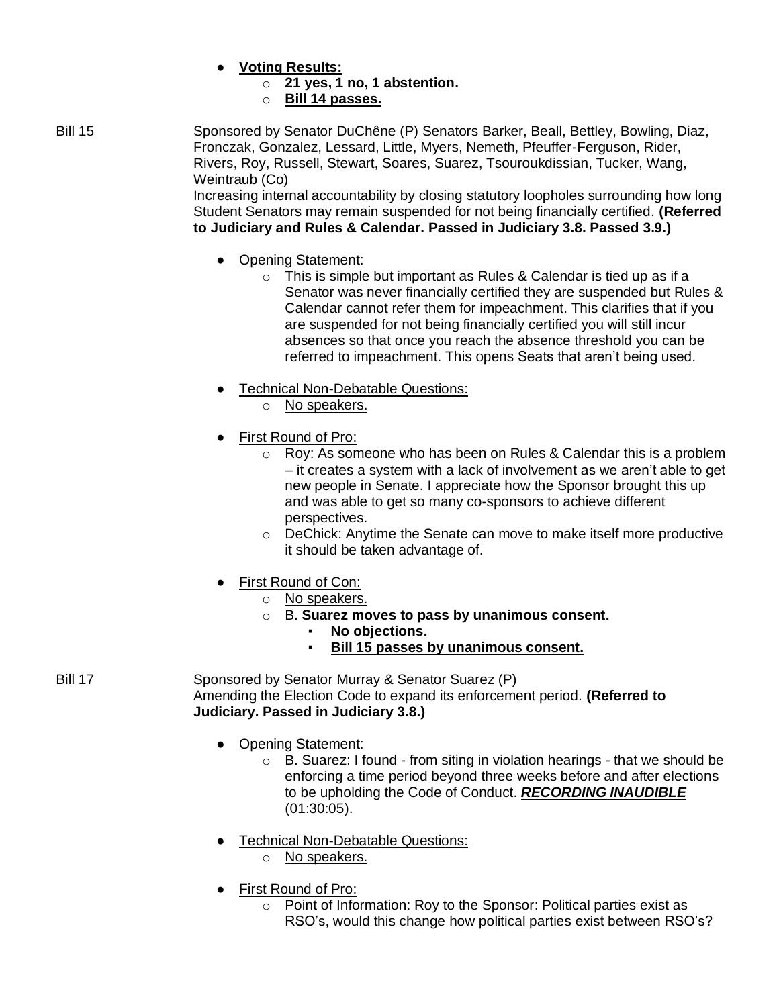- **Voting Results:**
	- o **21 yes, 1 no, 1 abstention.**
	- o **Bill 14 passes.**
- Bill 15 Sponsored by Senator DuChêne (P) Senators Barker, Beall, Bettley, Bowling, Diaz, Fronczak, Gonzalez, Lessard, Little, Myers, Nemeth, Pfeuffer-Ferguson, Rider, Rivers, Roy, Russell, Stewart, Soares, Suarez, Tsouroukdissian, Tucker, Wang, Weintraub (Co)

Increasing internal accountability by closing statutory loopholes surrounding how long Student Senators may remain suspended for not being financially certified. **(Referred to Judiciary and Rules & Calendar. Passed in Judiciary 3.8. Passed 3.9.)**

- Opening Statement:
	- $\circ$  This is simple but important as Rules & Calendar is tied up as if a Senator was never financially certified they are suspended but Rules & Calendar cannot refer them for impeachment. This clarifies that if you are suspended for not being financially certified you will still incur absences so that once you reach the absence threshold you can be referred to impeachment. This opens Seats that aren't being used.
- Technical Non-Debatable Questions:
	- o No speakers.
- First Round of Pro:
	- $\circ$  Roy: As someone who has been on Rules & Calendar this is a problem – it creates a system with a lack of involvement as we aren't able to get new people in Senate. I appreciate how the Sponsor brought this up and was able to get so many co-sponsors to achieve different perspectives.
	- o DeChick: Anytime the Senate can move to make itself more productive it should be taken advantage of.
- First Round of Con:
	- o No speakers.
	- o B**. Suarez moves to pass by unanimous consent.**
		- No objections.
		- **Bill 15 passes by unanimous consent.**

Bill 17 Sponsored by Senator Murray & Senator Suarez (P) Amending the Election Code to expand its enforcement period. **(Referred to Judiciary. Passed in Judiciary 3.8.)**

- Opening Statement:
	- $\circ$  B. Suarez: I found from siting in violation hearings that we should be enforcing a time period beyond three weeks before and after elections to be upholding the Code of Conduct. *RECORDING INAUDIBLE*  (01:30:05).
- Technical Non-Debatable Questions:
	- o No speakers.
- First Round of Pro:
	- o Point of Information: Roy to the Sponsor: Political parties exist as RSO's, would this change how political parties exist between RSO's?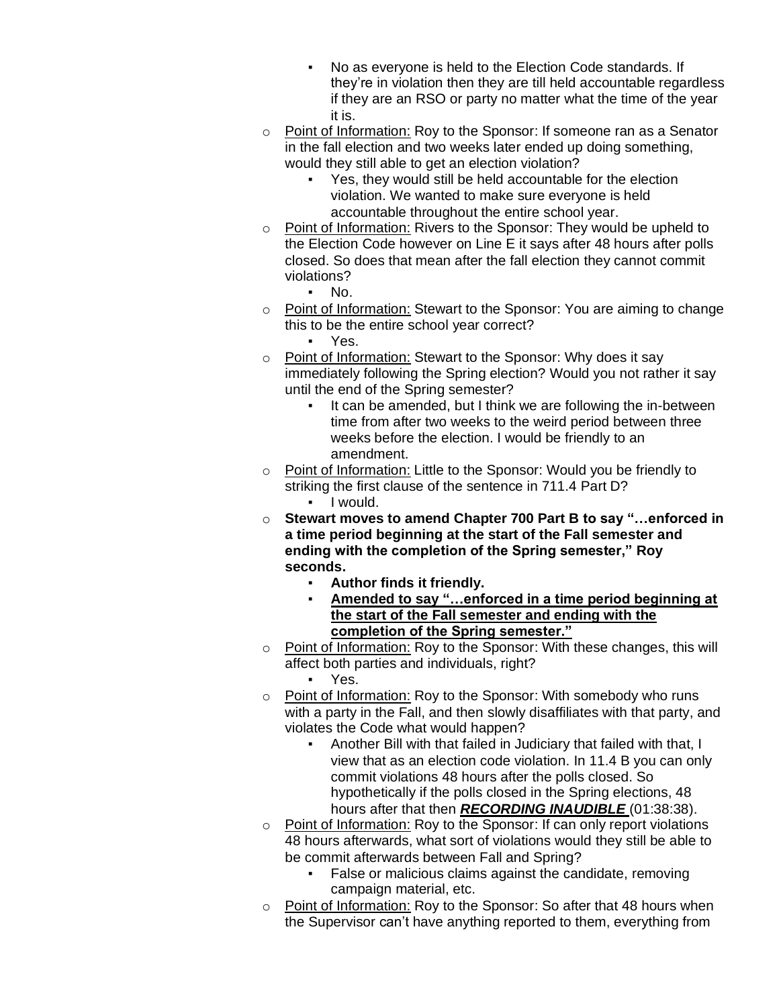- No as everyone is held to the Election Code standards. If they're in violation then they are till held accountable regardless if they are an RSO or party no matter what the time of the year it is.
- $\circ$  Point of Information: Roy to the Sponsor: If someone ran as a Senator in the fall election and two weeks later ended up doing something, would they still able to get an election violation?
	- Yes, they would still be held accountable for the election violation. We wanted to make sure everyone is held accountable throughout the entire school year.
- o Point of Information: Rivers to the Sponsor: They would be upheld to the Election Code however on Line E it says after 48 hours after polls closed. So does that mean after the fall election they cannot commit violations?
	- $\blacksquare$  No.
- o Point of Information: Stewart to the Sponsor: You are aiming to change this to be the entire school year correct?
	- Yes.
- o Point of Information: Stewart to the Sponsor: Why does it say immediately following the Spring election? Would you not rather it say until the end of the Spring semester?
	- It can be amended, but I think we are following the in-between time from after two weeks to the weird period between three weeks before the election. I would be friendly to an amendment.
- o Point of Information: Little to the Sponsor: Would you be friendly to striking the first clause of the sentence in 711.4 Part D? ▪ I would.
- o **Stewart moves to amend Chapter 700 Part B to say "…enforced in a time period beginning at the start of the Fall semester and ending with the completion of the Spring semester," Roy seconds.**
	- **Author finds it friendly.**
		- Amended to say "...enforced in a time period beginning at **the start of the Fall semester and ending with the completion of the Spring semester."**
- o Point of Information: Roy to the Sponsor: With these changes, this will affect both parties and individuals, right?
	- Yes.
- o Point of Information: Roy to the Sponsor: With somebody who runs with a party in the Fall, and then slowly disaffiliates with that party, and violates the Code what would happen?
	- Another Bill with that failed in Judiciary that failed with that, I view that as an election code violation. In 11.4 B you can only commit violations 48 hours after the polls closed. So hypothetically if the polls closed in the Spring elections, 48 hours after that then *RECORDING INAUDIBLE* (01:38:38).
- o Point of Information: Roy to the Sponsor: If can only report violations 48 hours afterwards, what sort of violations would they still be able to be commit afterwards between Fall and Spring?
	- False or malicious claims against the candidate, removing campaign material, etc.
- o Point of Information: Roy to the Sponsor: So after that 48 hours when the Supervisor can't have anything reported to them, everything from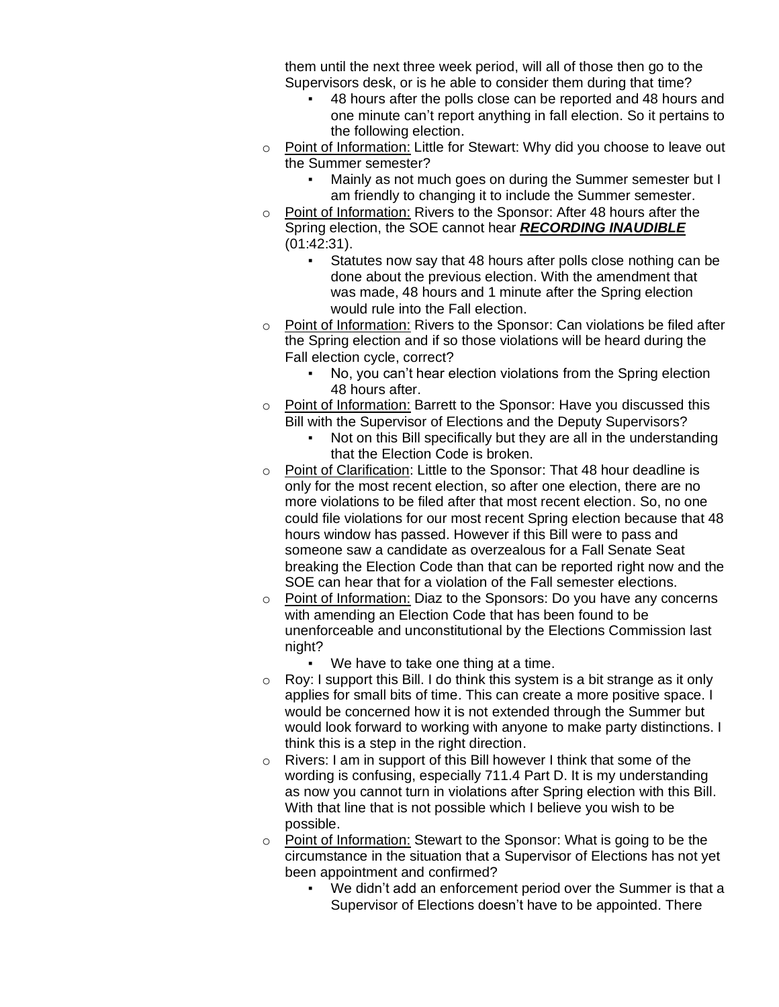them until the next three week period, will all of those then go to the Supervisors desk, or is he able to consider them during that time?

- 48 hours after the polls close can be reported and 48 hours and one minute can't report anything in fall election. So it pertains to the following election.
- o Point of Information: Little for Stewart: Why did you choose to leave out the Summer semester?
	- Mainly as not much goes on during the Summer semester but I am friendly to changing it to include the Summer semester.
- o Point of Information: Rivers to the Sponsor: After 48 hours after the Spring election, the SOE cannot hear *RECORDING INAUDIBLE*  (01:42:31).
	- Statutes now say that 48 hours after polls close nothing can be done about the previous election. With the amendment that was made, 48 hours and 1 minute after the Spring election would rule into the Fall election.
- $\circ$  Point of Information: Rivers to the Sponsor: Can violations be filed after the Spring election and if so those violations will be heard during the Fall election cycle, correct?
	- No, you can't hear election violations from the Spring election 48 hours after.
- o Point of Information: Barrett to the Sponsor: Have you discussed this Bill with the Supervisor of Elections and the Deputy Supervisors?
	- Not on this Bill specifically but they are all in the understanding that the Election Code is broken.
- o Point of Clarification: Little to the Sponsor: That 48 hour deadline is only for the most recent election, so after one election, there are no more violations to be filed after that most recent election. So, no one could file violations for our most recent Spring election because that 48 hours window has passed. However if this Bill were to pass and someone saw a candidate as overzealous for a Fall Senate Seat breaking the Election Code than that can be reported right now and the SOE can hear that for a violation of the Fall semester elections.
- o Point of Information: Diaz to the Sponsors: Do you have any concerns with amending an Election Code that has been found to be unenforceable and unconstitutional by the Elections Commission last night?
	- We have to take one thing at a time.
- $\circ$  Roy: I support this Bill. I do think this system is a bit strange as it only applies for small bits of time. This can create a more positive space. I would be concerned how it is not extended through the Summer but would look forward to working with anyone to make party distinctions. I think this is a step in the right direction.
- o Rivers: I am in support of this Bill however I think that some of the wording is confusing, especially 711.4 Part D. It is my understanding as now you cannot turn in violations after Spring election with this Bill. With that line that is not possible which I believe you wish to be possible.
- o Point of Information: Stewart to the Sponsor: What is going to be the circumstance in the situation that a Supervisor of Elections has not yet been appointment and confirmed?
	- We didn't add an enforcement period over the Summer is that a Supervisor of Elections doesn't have to be appointed. There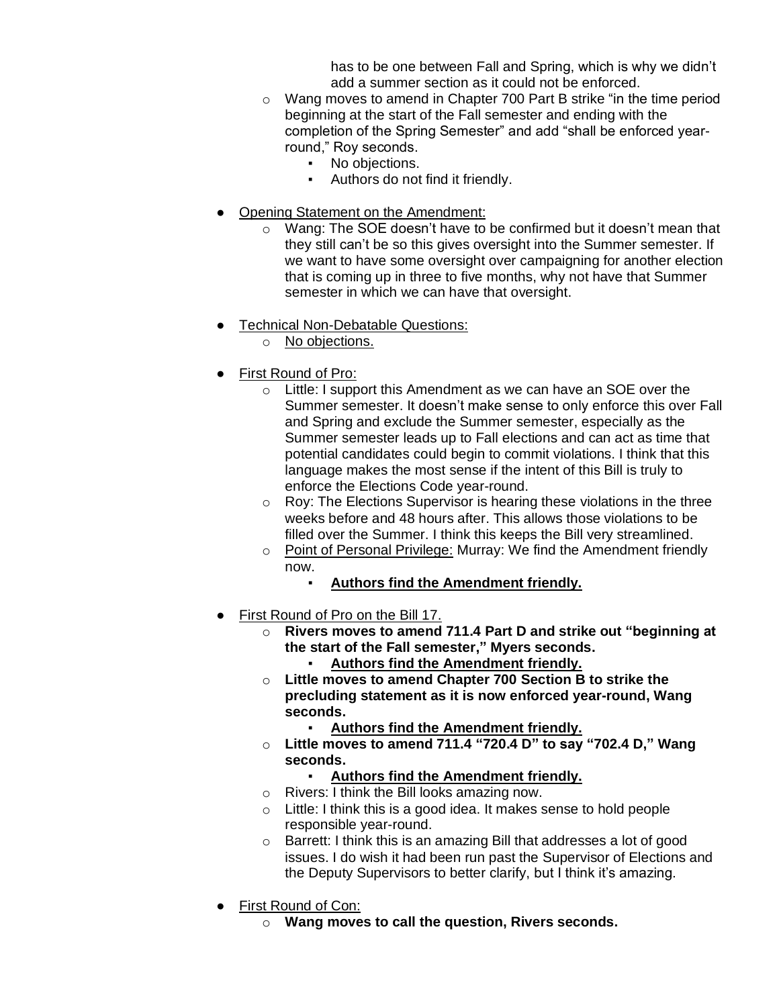has to be one between Fall and Spring, which is why we didn't add a summer section as it could not be enforced.

- o Wang moves to amend in Chapter 700 Part B strike "in the time period beginning at the start of the Fall semester and ending with the completion of the Spring Semester" and add "shall be enforced yearround," Roy seconds.
	- No objections.<br>• Authors do not
	- Authors do not find it friendly.
- Opening Statement on the Amendment:
	- o Wang: The SOE doesn't have to be confirmed but it doesn't mean that they still can't be so this gives oversight into the Summer semester. If we want to have some oversight over campaigning for another election that is coming up in three to five months, why not have that Summer semester in which we can have that oversight.
- **Technical Non-Debatable Questions:** 
	- o No objections.
- First Round of Pro:
	- o Little: I support this Amendment as we can have an SOE over the Summer semester. It doesn't make sense to only enforce this over Fall and Spring and exclude the Summer semester, especially as the Summer semester leads up to Fall elections and can act as time that potential candidates could begin to commit violations. I think that this language makes the most sense if the intent of this Bill is truly to enforce the Elections Code year-round.
	- o Roy: The Elections Supervisor is hearing these violations in the three weeks before and 48 hours after. This allows those violations to be filled over the Summer. I think this keeps the Bill very streamlined.
	- o Point of Personal Privilege: Murray: We find the Amendment friendly now.
		- Authors find the Amendment friendly.
- First Round of Pro on the Bill 17.
	- o **Rivers moves to amend 711.4 Part D and strike out "beginning at the start of the Fall semester," Myers seconds.**
		- Authors find the Amendment friendly.
	- o **Little moves to amend Chapter 700 Section B to strike the precluding statement as it is now enforced year-round, Wang seconds.**
		- **Authors find the Amendment friendly.**
	- o **Little moves to amend 711.4 "720.4 D" to say "702.4 D," Wang seconds.**
		- Authors find the Amendment friendly.
	- o Rivers: I think the Bill looks amazing now.
	- $\circ$  Little: I think this is a good idea. It makes sense to hold people responsible year-round.
	- o Barrett: I think this is an amazing Bill that addresses a lot of good issues. I do wish it had been run past the Supervisor of Elections and the Deputy Supervisors to better clarify, but I think it's amazing.
- First Round of Con:
	- o **Wang moves to call the question, Rivers seconds.**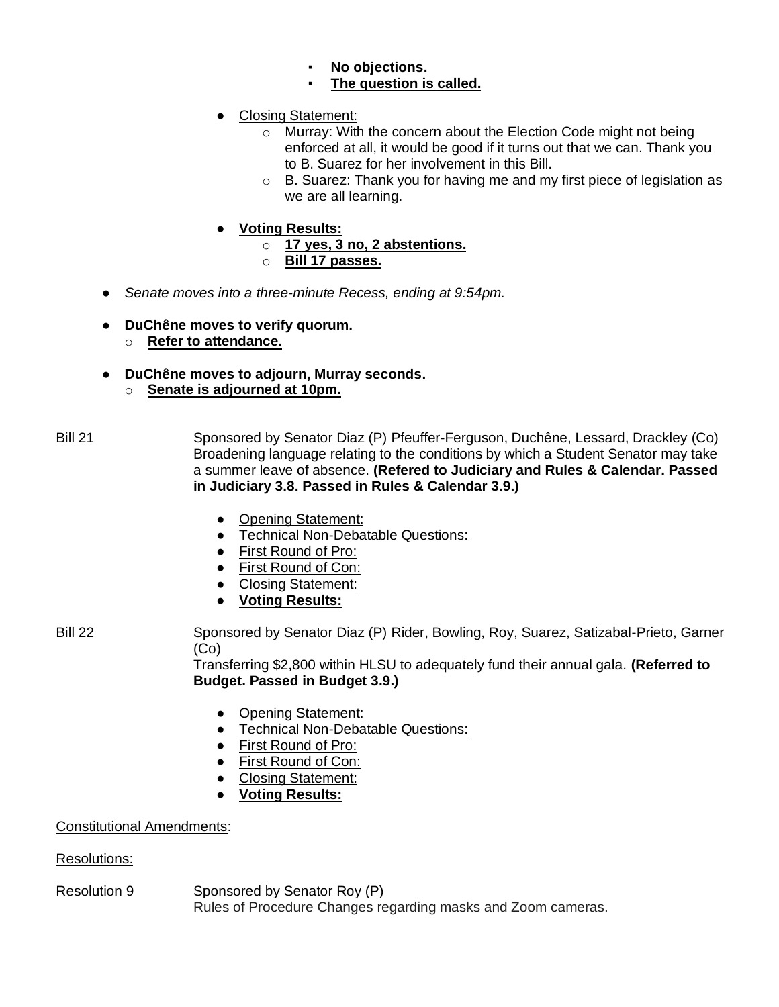- No objections.
- **The question is called.**
- Closing Statement:
	- o Murray: With the concern about the Election Code might not being enforced at all, it would be good if it turns out that we can. Thank you to B. Suarez for her involvement in this Bill.
	- $\circ$  B. Suarez: Thank you for having me and my first piece of legislation as we are all learning.
- **Voting Results:**
	- o **17 yes, 3 no, 2 abstentions.**
	- o **Bill 17 passes.**
- *Senate moves into a three-minute Recess, ending at 9:54pm.*
- **DuChêne moves to verify quorum.**
	- o **Refer to attendance.**
- **DuChêne moves to adjourn, Murray seconds.**
	- o **Senate is adjourned at 10pm.**
- Bill 21 Sponsored by Senator Diaz (P) Pfeuffer-Ferguson, Duchêne, Lessard, Drackley (Co) Broadening language relating to the conditions by which a Student Senator may take a summer leave of absence. **(Refered to Judiciary and Rules & Calendar. Passed in Judiciary 3.8. Passed in Rules & Calendar 3.9.)**
	- Opening Statement:
	- Technical Non-Debatable Questions:
	- First Round of Pro:
	- First Round of Con:
	- Closing Statement:
	- **Voting Results:**

Bill 22 Sponsored by Senator Diaz (P) Rider, Bowling, Roy, Suarez, Satizabal-Prieto, Garner (Co)

Transferring \$2,800 within HLSU to adequately fund their annual gala. **(Referred to Budget. Passed in Budget 3.9.)**

- Opening Statement:
- Technical Non-Debatable Questions:
- First Round of Pro:
- First Round of Con:
- Closing Statement:
- **Voting Results:**

# Constitutional Amendments:

Resolutions:

Resolution 9 Sponsored by Senator Roy (P) Rules of Procedure Changes regarding masks and Zoom cameras.